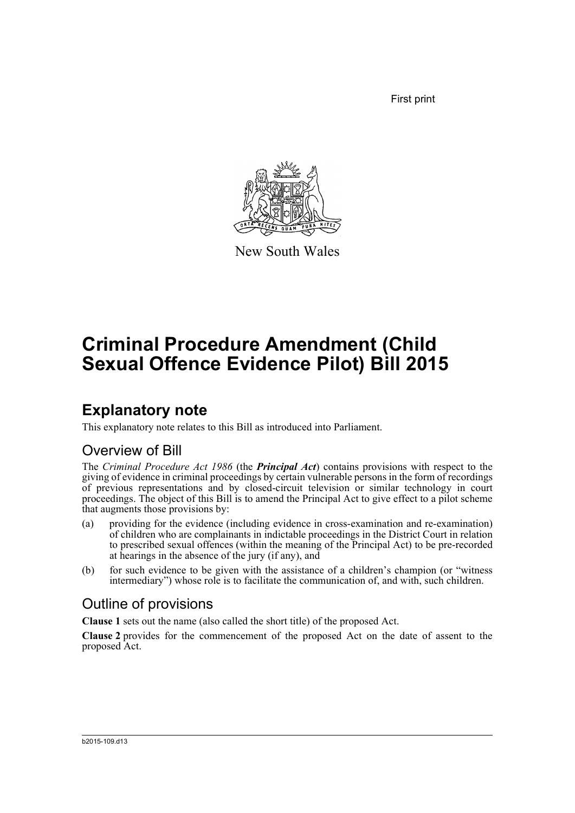First print



New South Wales

# **Criminal Procedure Amendment (Child Sexual Offence Evidence Pilot) Bill 2015**

### **Explanatory note**

This explanatory note relates to this Bill as introduced into Parliament.

### Overview of Bill

The *Criminal Procedure Act 1986* (the *Principal Act*) contains provisions with respect to the giving of evidence in criminal proceedings by certain vulnerable persons in the form of recordings of previous representations and by closed-circuit television or similar technology in court proceedings. The object of this Bill is to amend the Principal Act to give effect to a pilot scheme that augments those provisions by:

- (a) providing for the evidence (including evidence in cross-examination and re-examination) of children who are complainants in indictable proceedings in the District Court in relation to prescribed sexual offences (within the meaning of the Principal Act) to be pre-recorded at hearings in the absence of the jury (if any), and
- (b) for such evidence to be given with the assistance of a children's champion (or "witness intermediary") whose role is to facilitate the communication of, and with, such children.

### Outline of provisions

**Clause 1** sets out the name (also called the short title) of the proposed Act.

**Clause 2** provides for the commencement of the proposed Act on the date of assent to the proposed Act.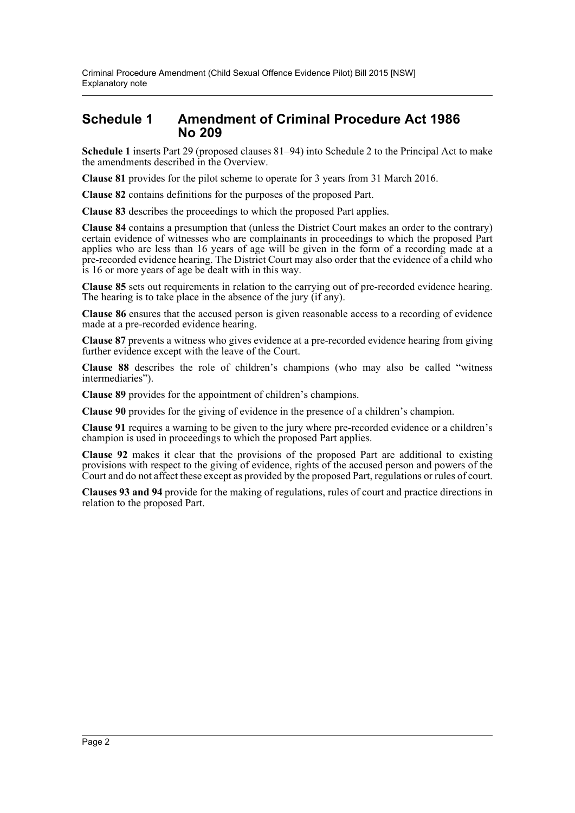### **Schedule 1 Amendment of Criminal Procedure Act 1986 No 209**

**Schedule 1** inserts Part 29 (proposed clauses 81–94) into Schedule 2 to the Principal Act to make the amendments described in the Overview.

**Clause 81** provides for the pilot scheme to operate for 3 years from 31 March 2016.

**Clause 82** contains definitions for the purposes of the proposed Part.

**Clause 83** describes the proceedings to which the proposed Part applies.

**Clause 84** contains a presumption that (unless the District Court makes an order to the contrary) certain evidence of witnesses who are complainants in proceedings to which the proposed Part applies who are less than 16 years of age will be given in the form of a recording made at a pre-recorded evidence hearing. The District Court may also order that the evidence of a child who is 16 or more years of age be dealt with in this way.

**Clause 85** sets out requirements in relation to the carrying out of pre-recorded evidence hearing. The hearing is to take place in the absence of the jury (if any).

**Clause 86** ensures that the accused person is given reasonable access to a recording of evidence made at a pre-recorded evidence hearing.

**Clause 87** prevents a witness who gives evidence at a pre-recorded evidence hearing from giving further evidence except with the leave of the Court.

**Clause 88** describes the role of children's champions (who may also be called "witness intermediaries").

**Clause 89** provides for the appointment of children's champions.

**Clause 90** provides for the giving of evidence in the presence of a children's champion.

**Clause 91** requires a warning to be given to the jury where pre-recorded evidence or a children's champion is used in proceedings to which the proposed Part applies.

**Clause 92** makes it clear that the provisions of the proposed Part are additional to existing provisions with respect to the giving of evidence, rights of the accused person and powers of the Court and do not affect these except as provided by the proposed Part, regulations or rules of court.

**Clauses 93 and 94** provide for the making of regulations, rules of court and practice directions in relation to the proposed Part.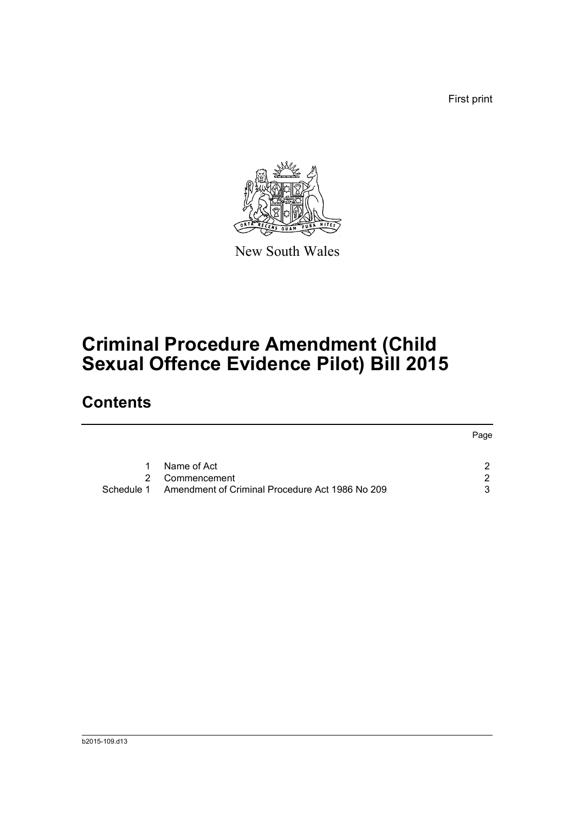First print



New South Wales

# **Criminal Procedure Amendment (Child Sexual Offence Evidence Pilot) Bill 2015**

### **Contents**

|            |                                                 | Page |
|------------|-------------------------------------------------|------|
| 1          | Name of Act                                     |      |
|            | 2 Commencement                                  |      |
| Schedule 1 | Amendment of Criminal Procedure Act 1986 No 209 |      |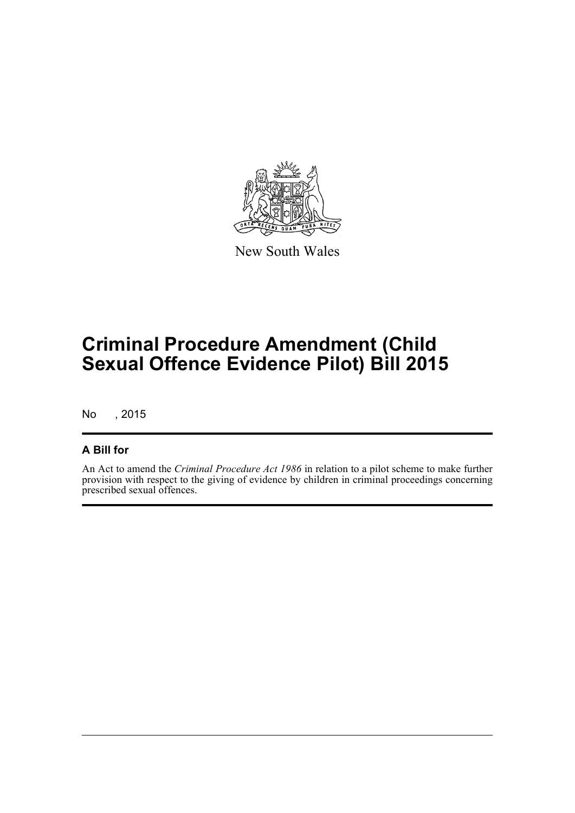

New South Wales

# **Criminal Procedure Amendment (Child Sexual Offence Evidence Pilot) Bill 2015**

No , 2015

#### **A Bill for**

An Act to amend the *Criminal Procedure Act 1986* in relation to a pilot scheme to make further provision with respect to the giving of evidence by children in criminal proceedings concerning prescribed sexual offences.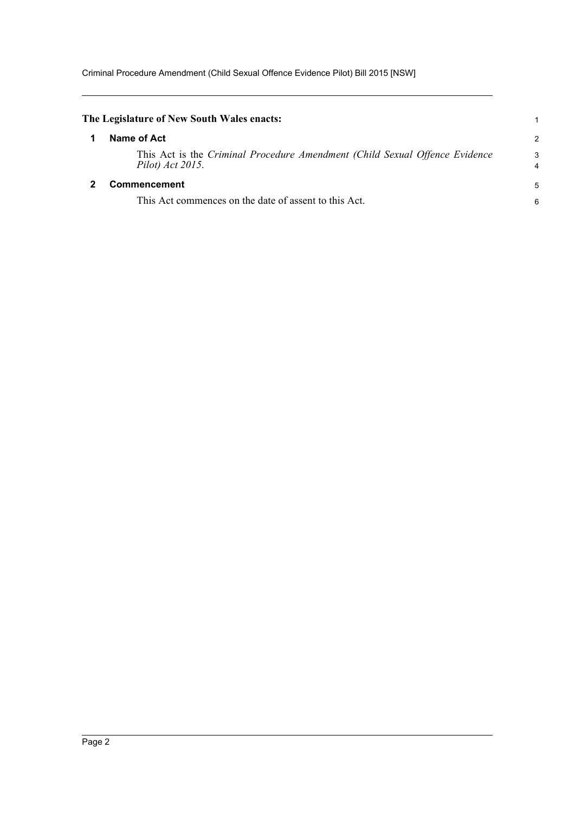<span id="page-4-1"></span><span id="page-4-0"></span>

| The Legislature of New South Wales enacts:                                                      |        |
|-------------------------------------------------------------------------------------------------|--------|
| Name of Act                                                                                     | 2      |
| This Act is the Criminal Procedure Amendment (Child Sexual Offence Evidence<br>Pilot) Act 2015. | 3<br>4 |
| <b>Commencement</b>                                                                             | 5      |
| This Act commences on the date of assent to this Act.                                           | 6      |
|                                                                                                 |        |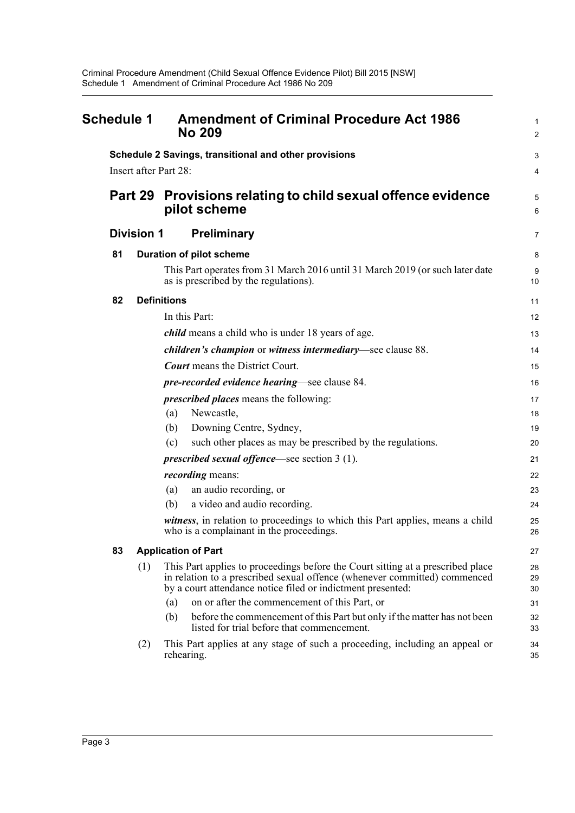<span id="page-5-0"></span>

| Schedule 1 |                   | <b>Amendment of Criminal Procedure Act 1986</b><br><b>No 209</b>                                                                                                                                                            | 1<br>$\overline{2}$ |
|------------|-------------------|-----------------------------------------------------------------------------------------------------------------------------------------------------------------------------------------------------------------------------|---------------------|
|            |                   | Schedule 2 Savings, transitional and other provisions<br>Insert after Part 28:                                                                                                                                              | 3<br>4              |
|            | Part 29           | Provisions relating to child sexual offence evidence<br>pilot scheme                                                                                                                                                        | 5<br>6              |
|            | <b>Division 1</b> | <b>Preliminary</b>                                                                                                                                                                                                          | 7                   |
| 81         |                   | <b>Duration of pilot scheme</b>                                                                                                                                                                                             | 8                   |
|            |                   | This Part operates from 31 March 2016 until 31 March 2019 (or such later date<br>as is prescribed by the regulations).                                                                                                      | 9<br>10             |
| 82         |                   | <b>Definitions</b>                                                                                                                                                                                                          | 11                  |
|            |                   | In this Part:                                                                                                                                                                                                               | 12                  |
|            |                   | <i>child</i> means a child who is under 18 years of age.                                                                                                                                                                    | 13                  |
|            |                   | children's champion or witness intermediary—see clause 88.                                                                                                                                                                  | 14                  |
|            |                   | <b>Court</b> means the District Court.                                                                                                                                                                                      | 15                  |
|            |                   | <i>pre-recorded evidence hearing</i> —see clause 84.                                                                                                                                                                        | 16                  |
|            |                   | <i>prescribed places</i> means the following:                                                                                                                                                                               | 17                  |
|            |                   | Newcastle,<br>(a)                                                                                                                                                                                                           | 18                  |
|            |                   | Downing Centre, Sydney,<br>(b)                                                                                                                                                                                              | 19                  |
|            |                   | such other places as may be prescribed by the regulations.<br>(c)                                                                                                                                                           | 20                  |
|            |                   | <i>prescribed sexual offence</i> —see section $3(1)$ .                                                                                                                                                                      | 21                  |
|            |                   | <i>recording</i> means:                                                                                                                                                                                                     | 22                  |
|            |                   | an audio recording, or<br>(a)                                                                                                                                                                                               | 23                  |
|            |                   | a video and audio recording.<br>(b)                                                                                                                                                                                         | 24                  |
|            |                   | <i>witness</i> , in relation to proceedings to which this Part applies, means a child<br>who is a complainant in the proceedings.                                                                                           | 25<br>26            |
| 83         |                   | <b>Application of Part</b>                                                                                                                                                                                                  | 27                  |
|            | (1)               | This Part applies to proceedings before the Court sitting at a prescribed place<br>in relation to a prescribed sexual offence (whenever committed) commenced<br>by a court attendance notice filed or indictment presented: | 28<br>29<br>30      |
|            |                   | on or after the commencement of this Part, or<br>(a)                                                                                                                                                                        | 31                  |
|            |                   | (b)<br>before the commencement of this Part but only if the matter has not been<br>listed for trial before that commencement.                                                                                               | 32<br>33            |
|            | (2)               | This Part applies at any stage of such a proceeding, including an appeal or<br>rehearing.                                                                                                                                   | 34<br>35            |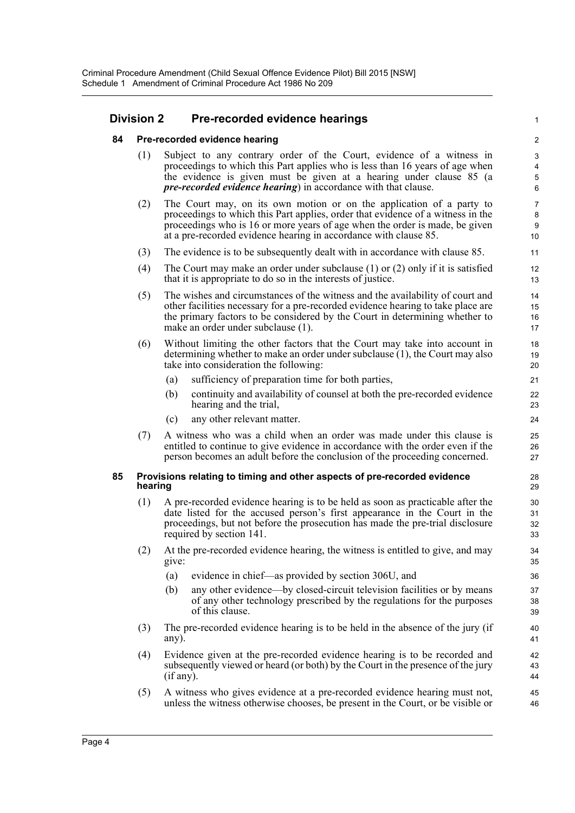#### **Division 2 Pre-recorded evidence hearings**

1

- **84 Pre-recorded evidence hearing**
	- (1) Subject to any contrary order of the Court, evidence of a witness in proceedings to which this Part applies who is less than 16 years of age when the evidence is given must be given at a hearing under clause 85 (a *pre-recorded evidence hearing*) in accordance with that clause.
	- (2) The Court may, on its own motion or on the application of a party to proceedings to which this Part applies, order that evidence of a witness in the proceedings who is 16 or more years of age when the order is made, be given at a pre-recorded evidence hearing in accordance with clause 85.
	- (3) The evidence is to be subsequently dealt with in accordance with clause 85.
	- (4) The Court may make an order under subclause (1) or (2) only if it is satisfied that it is appropriate to do so in the interests of justice.
	- (5) The wishes and circumstances of the witness and the availability of court and other facilities necessary for a pre-recorded evidence hearing to take place are the primary factors to be considered by the Court in determining whether to make an order under subclause (1).
	- (6) Without limiting the other factors that the Court may take into account in determining whether to make an order under subclause (1), the Court may also take into consideration the following:
		- (a) sufficiency of preparation time for both parties,
		- (b) continuity and availability of counsel at both the pre-recorded evidence hearing and the trial,
		- (c) any other relevant matter.
	- (7) A witness who was a child when an order was made under this clause is entitled to continue to give evidence in accordance with the order even if the person becomes an adult before the conclusion of the proceeding concerned.

#### **85 Provisions relating to timing and other aspects of pre-recorded evidence hearing**

- (1) A pre-recorded evidence hearing is to be held as soon as practicable after the date listed for the accused person's first appearance in the Court in the proceedings, but not before the prosecution has made the pre-trial disclosure required by section 141.
- (2) At the pre-recorded evidence hearing, the witness is entitled to give, and may give:
	- (a) evidence in chief—as provided by section 306U, and
	- (b) any other evidence—by closed-circuit television facilities or by means of any other technology prescribed by the regulations for the purposes of this clause.
- (3) The pre-recorded evidence hearing is to be held in the absence of the jury (if any).
- (4) Evidence given at the pre-recorded evidence hearing is to be recorded and subsequently viewed or heard (or both) by the Court in the presence of the jury (if any).
- (5) A witness who gives evidence at a pre-recorded evidence hearing must not, unless the witness otherwise chooses, be present in the Court, or be visible or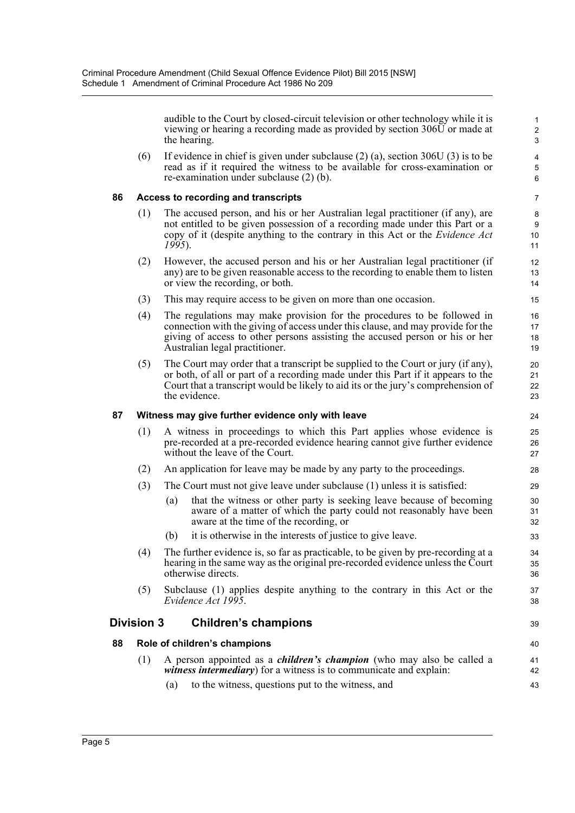audible to the Court by closed-circuit television or other technology while it is viewing or hearing a recording made as provided by section 306U or made at the hearing.

39

(6) If evidence in chief is given under subclause  $(2)$  (a), section 306U (3) is to be read as if it required the witness to be available for cross-examination or re-examination under subclause (2) (b).

#### **86 Access to recording and transcripts**

- (1) The accused person, and his or her Australian legal practitioner (if any), are not entitled to be given possession of a recording made under this Part or a copy of it (despite anything to the contrary in this Act or the *Evidence Act 1995*).
- (2) However, the accused person and his or her Australian legal practitioner (if any) are to be given reasonable access to the recording to enable them to listen or view the recording, or both.
- (3) This may require access to be given on more than one occasion.
- (4) The regulations may make provision for the procedures to be followed in connection with the giving of access under this clause, and may provide for the giving of access to other persons assisting the accused person or his or her Australian legal practitioner.
- (5) The Court may order that a transcript be supplied to the Court or jury (if any), or both, of all or part of a recording made under this Part if it appears to the Court that a transcript would be likely to aid its or the jury's comprehension of the evidence.

#### **87 Witness may give further evidence only with leave**

- (1) A witness in proceedings to which this Part applies whose evidence is pre-recorded at a pre-recorded evidence hearing cannot give further evidence without the leave of the Court.
- (2) An application for leave may be made by any party to the proceedings.
- (3) The Court must not give leave under subclause (1) unless it is satisfied:
	- (a) that the witness or other party is seeking leave because of becoming aware of a matter of which the party could not reasonably have been aware at the time of the recording, or
	- (b) it is otherwise in the interests of justice to give leave.
- (4) The further evidence is, so far as practicable, to be given by pre-recording at a hearing in the same way as the original pre-recorded evidence unless the Court otherwise directs.
- (5) Subclause (1) applies despite anything to the contrary in this Act or the *Evidence Act 1995*.

#### **Division 3 Children's champions**

#### **88 Role of children's champions**

- (1) A person appointed as a *children's champion* (who may also be called a *witness intermediary*) for a witness is to communicate and explain:
	- (a) to the witness, questions put to the witness, and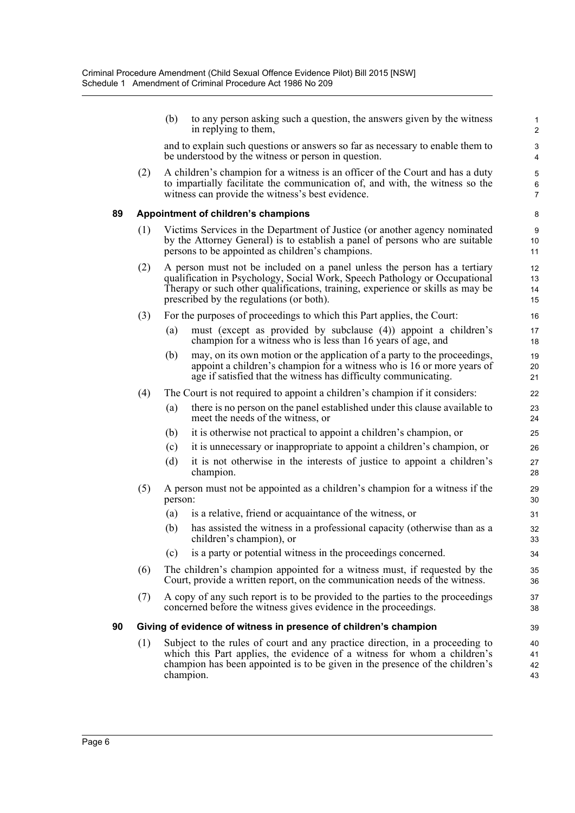|    |                                                                  | (b)                                                                                                                                                                                                                                                                                   | to any person asking such a question, the answers given by the witness<br>in replying to them,                                                                                                                                                        | $\mathbf{1}$<br>$\overline{2}$ |
|----|------------------------------------------------------------------|---------------------------------------------------------------------------------------------------------------------------------------------------------------------------------------------------------------------------------------------------------------------------------------|-------------------------------------------------------------------------------------------------------------------------------------------------------------------------------------------------------------------------------------------------------|--------------------------------|
|    |                                                                  |                                                                                                                                                                                                                                                                                       | and to explain such questions or answers so far as necessary to enable them to<br>be understood by the witness or person in question.                                                                                                                 | 3<br>4                         |
|    | (2)                                                              |                                                                                                                                                                                                                                                                                       | A children's champion for a witness is an officer of the Court and has a duty<br>to impartially facilitate the communication of, and with, the witness so the<br>witness can provide the witness's best evidence.                                     | 5<br>6<br>$\overline{7}$       |
| 89 |                                                                  |                                                                                                                                                                                                                                                                                       | Appointment of children's champions                                                                                                                                                                                                                   | 8                              |
|    | (1)                                                              | Victims Services in the Department of Justice (or another agency nominated<br>by the Attorney General) is to establish a panel of persons who are suitable<br>persons to be appointed as children's champions.                                                                        |                                                                                                                                                                                                                                                       |                                |
|    | (2)                                                              | A person must not be included on a panel unless the person has a tertiary<br>qualification in Psychology, Social Work, Speech Pathology or Occupational<br>Therapy or such other qualifications, training, experience or skills as may be<br>prescribed by the regulations (or both). |                                                                                                                                                                                                                                                       |                                |
|    | (3)                                                              |                                                                                                                                                                                                                                                                                       | For the purposes of proceedings to which this Part applies, the Court:                                                                                                                                                                                | 16                             |
|    |                                                                  | (a)                                                                                                                                                                                                                                                                                   | must (except as provided by subclause (4)) appoint a children's<br>champion for a witness who is less than 16 years of age, and                                                                                                                       | 17<br>18                       |
|    |                                                                  | (b)                                                                                                                                                                                                                                                                                   | may, on its own motion or the application of a party to the proceedings,<br>appoint a children's champion for a witness who is 16 or more years of<br>age if satisfied that the witness has difficulty communicating.                                 | 19<br>20<br>21                 |
|    | (4)                                                              |                                                                                                                                                                                                                                                                                       | The Court is not required to appoint a children's champion if it considers:                                                                                                                                                                           | 22                             |
|    |                                                                  | (a)                                                                                                                                                                                                                                                                                   | there is no person on the panel established under this clause available to<br>meet the needs of the witness, or                                                                                                                                       | 23<br>24                       |
|    |                                                                  | (b)                                                                                                                                                                                                                                                                                   | it is otherwise not practical to appoint a children's champion, or                                                                                                                                                                                    | 25                             |
|    |                                                                  | (c)                                                                                                                                                                                                                                                                                   | it is unnecessary or inappropriate to appoint a children's champion, or                                                                                                                                                                               | 26                             |
|    |                                                                  | (d)                                                                                                                                                                                                                                                                                   | it is not otherwise in the interests of justice to appoint a children's<br>champion.                                                                                                                                                                  | 27<br>28                       |
|    | (5)                                                              | person:                                                                                                                                                                                                                                                                               | A person must not be appointed as a children's champion for a witness if the                                                                                                                                                                          | 29<br>30                       |
|    |                                                                  | (a)                                                                                                                                                                                                                                                                                   | is a relative, friend or acquaintance of the witness, or                                                                                                                                                                                              | 31                             |
|    |                                                                  | (b)                                                                                                                                                                                                                                                                                   | has assisted the witness in a professional capacity (otherwise than as a<br>children's champion), or                                                                                                                                                  | 32<br>33                       |
|    |                                                                  | (c)                                                                                                                                                                                                                                                                                   | is a party or potential witness in the proceedings concerned.                                                                                                                                                                                         | 34                             |
|    | (6)                                                              |                                                                                                                                                                                                                                                                                       | The children's champion appointed for a witness must, if requested by the<br>Court, provide a written report, on the communication needs of the witness.                                                                                              | 35<br>36                       |
|    | (7)                                                              |                                                                                                                                                                                                                                                                                       | A copy of any such report is to be provided to the parties to the proceedings<br>concerned before the witness gives evidence in the proceedings.                                                                                                      | 37<br>38                       |
| 90 | Giving of evidence of witness in presence of children's champion |                                                                                                                                                                                                                                                                                       |                                                                                                                                                                                                                                                       | 39                             |
|    | (1)                                                              |                                                                                                                                                                                                                                                                                       | Subject to the rules of court and any practice direction, in a proceeding to<br>which this Part applies, the evidence of a witness for whom a children's<br>champion has been appointed is to be given in the presence of the children's<br>champion. | 40<br>41<br>42<br>43           |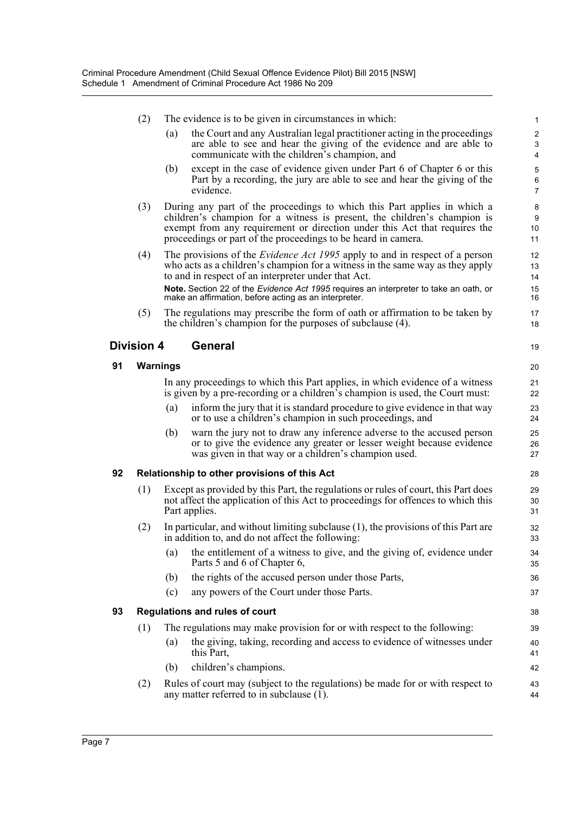|    | (2)                                                                                                                                                                                                                    | The evidence is to be given in circumstances in which:                                                                                                                                  |                                                                                                                                                                                                                            | 1                            |  |  |
|----|------------------------------------------------------------------------------------------------------------------------------------------------------------------------------------------------------------------------|-----------------------------------------------------------------------------------------------------------------------------------------------------------------------------------------|----------------------------------------------------------------------------------------------------------------------------------------------------------------------------------------------------------------------------|------------------------------|--|--|
|    |                                                                                                                                                                                                                        | (a)                                                                                                                                                                                     | the Court and any Australian legal practitioner acting in the proceedings<br>are able to see and hear the giving of the evidence and are able to<br>communicate with the children's champion, and                          | $\overline{c}$<br>3          |  |  |
|    |                                                                                                                                                                                                                        | (b)                                                                                                                                                                                     | except in the case of evidence given under Part 6 of Chapter 6 or this                                                                                                                                                     | $\overline{\mathbf{4}}$<br>5 |  |  |
|    |                                                                                                                                                                                                                        |                                                                                                                                                                                         | Part by a recording, the jury are able to see and hear the giving of the<br>evidence.                                                                                                                                      | 6<br>7                       |  |  |
|    | (3)                                                                                                                                                                                                                    |                                                                                                                                                                                         | During any part of the proceedings to which this Part applies in which a                                                                                                                                                   | 8                            |  |  |
|    | children's champion for a witness is present, the children's champion is<br>exempt from any requirement or direction under this Act that requires the<br>proceedings or part of the proceedings to be heard in camera. |                                                                                                                                                                                         |                                                                                                                                                                                                                            | 9<br>10<br>11                |  |  |
|    | (4)                                                                                                                                                                                                                    |                                                                                                                                                                                         | The provisions of the <i>Evidence Act 1995</i> apply to and in respect of a person<br>who acts as a children's champion for a witness in the same way as they apply<br>to and in respect of an interpreter under that Act. | 12<br>13<br>14               |  |  |
|    |                                                                                                                                                                                                                        |                                                                                                                                                                                         | Note. Section 22 of the Evidence Act 1995 requires an interpreter to take an oath, or<br>make an affirmation, before acting as an interpreter.                                                                             | 15<br>16                     |  |  |
|    | (5)                                                                                                                                                                                                                    |                                                                                                                                                                                         | The regulations may prescribe the form of oath or affirmation to be taken by<br>the children's champion for the purposes of subclause (4).                                                                                 | 17<br>18                     |  |  |
|    | <b>Division 4</b>                                                                                                                                                                                                      |                                                                                                                                                                                         | <b>General</b>                                                                                                                                                                                                             | 19                           |  |  |
| 91 | Warnings                                                                                                                                                                                                               |                                                                                                                                                                                         |                                                                                                                                                                                                                            | 20                           |  |  |
|    |                                                                                                                                                                                                                        |                                                                                                                                                                                         | In any proceedings to which this Part applies, in which evidence of a witness<br>is given by a pre-recording or a children's champion is used, the Court must:                                                             | 21<br>22                     |  |  |
|    |                                                                                                                                                                                                                        | (a)                                                                                                                                                                                     | inform the jury that it is standard procedure to give evidence in that way<br>or to use a children's champion in such proceedings, and                                                                                     | 23<br>24                     |  |  |
|    |                                                                                                                                                                                                                        | (b)                                                                                                                                                                                     | warn the jury not to draw any inference adverse to the accused person<br>or to give the evidence any greater or lesser weight because evidence<br>was given in that way or a children's champion used.                     | 25<br>26<br>27               |  |  |
| 92 |                                                                                                                                                                                                                        | Relationship to other provisions of this Act                                                                                                                                            |                                                                                                                                                                                                                            |                              |  |  |
|    | (1)                                                                                                                                                                                                                    | Except as provided by this Part, the regulations or rules of court, this Part does<br>not affect the application of this Act to proceedings for offences to which this<br>Part applies. |                                                                                                                                                                                                                            | 29<br>30<br>31               |  |  |
|    | (2)                                                                                                                                                                                                                    |                                                                                                                                                                                         | In particular, and without limiting subclause $(1)$ , the provisions of this Part are<br>in addition to, and do not affect the following:                                                                                  | 32<br>33                     |  |  |
|    |                                                                                                                                                                                                                        | (a)                                                                                                                                                                                     | the entitlement of a witness to give, and the giving of, evidence under<br>Parts 5 and 6 of Chapter 6,                                                                                                                     | 34<br>35                     |  |  |
|    |                                                                                                                                                                                                                        | (b)                                                                                                                                                                                     | the rights of the accused person under those Parts,                                                                                                                                                                        | 36                           |  |  |
|    |                                                                                                                                                                                                                        | (c)                                                                                                                                                                                     | any powers of the Court under those Parts.                                                                                                                                                                                 | 37                           |  |  |
| 93 |                                                                                                                                                                                                                        | <b>Regulations and rules of court</b>                                                                                                                                                   |                                                                                                                                                                                                                            |                              |  |  |
|    | (1)                                                                                                                                                                                                                    |                                                                                                                                                                                         | The regulations may make provision for or with respect to the following:                                                                                                                                                   | 39                           |  |  |
|    |                                                                                                                                                                                                                        | (a)                                                                                                                                                                                     | the giving, taking, recording and access to evidence of witnesses under<br>this Part,                                                                                                                                      | 40<br>41                     |  |  |
|    |                                                                                                                                                                                                                        | (b)                                                                                                                                                                                     | children's champions.                                                                                                                                                                                                      | 42                           |  |  |
|    | (2)                                                                                                                                                                                                                    |                                                                                                                                                                                         | Rules of court may (subject to the regulations) be made for or with respect to<br>any matter referred to in subclause $(1)$ .                                                                                              | 43<br>44                     |  |  |